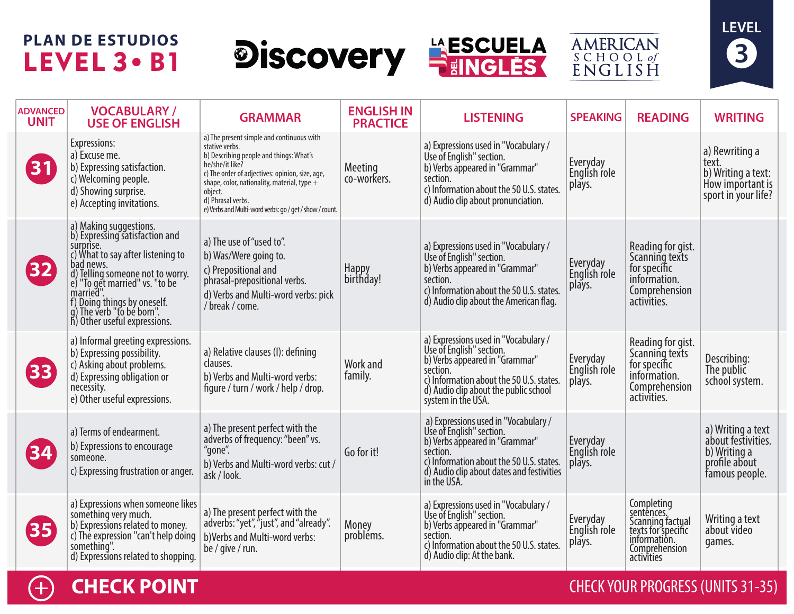# **PLAN DE ESTUDIOS** LEVEL 3 . B1







| <b>ADVANCED</b><br><b>UNIT</b> | <b>VOCABULARY/</b><br><b>USE OF ENGLISH</b>                                                                                                                                                                                                                                                            | <b>GRAMMAR</b>                                                                                                                                                                                                                                                                                                           | <b>ENGLISH IN</b><br><b>PRACTICE</b> | <b>LISTENING</b>                                                                                                                                                                                                          | <b>SPEAKING</b>                    | <b>READING</b>                                                                                                    | <b>WRITING</b>                                                                             |
|--------------------------------|--------------------------------------------------------------------------------------------------------------------------------------------------------------------------------------------------------------------------------------------------------------------------------------------------------|--------------------------------------------------------------------------------------------------------------------------------------------------------------------------------------------------------------------------------------------------------------------------------------------------------------------------|--------------------------------------|---------------------------------------------------------------------------------------------------------------------------------------------------------------------------------------------------------------------------|------------------------------------|-------------------------------------------------------------------------------------------------------------------|--------------------------------------------------------------------------------------------|
| 31                             | Expressions:<br>a) Excuse me.<br>b) Expressing satisfaction.<br>c) Welcoming people.<br>d) Showing surprise.<br>e) Accepting invitations.                                                                                                                                                              | a) The present simple and continuous with<br>stative verbs.<br>b) Describing people and things: What's<br>he/she/it like?<br>c) The order of adjectives: opinion, size, age,<br>shape, color, nationality, material, type $+$<br>obiect.<br>d) Phrasal verbs.<br>e) Verbs and Multi-word verbs: go / get / show / count. | Meeting<br>co-workers.               | a) Expressions used in "Vocabulary /<br>Use of English" section.<br>b) Verbs appeared in "Grammar"<br>section.<br>c) Information about the 50 U.S. states.<br>d) Audio clip about pronunciation.                          | Everyday<br>English role<br>plays. |                                                                                                                   | a) Rewriting a<br>text.<br>b) Writing a text:<br>How important is<br>sport in your life?   |
| $\mathbf{32}$                  | a) Making suggestions.<br>b) Expressing satisfaction and<br>surprise.<br>c) What to say after listening to<br>bad news.<br>d) Telling someone not to worry.<br>e) "To get married" vs. "to be<br>married".<br>f) Doing things by oneself.<br>g) The verb "to be born".<br>h) Other useful expressions. | a) The use of "used to".<br>b) Was/Were going to.<br>c) Prepositional and<br>phrasal-prepositional verbs.<br>d) Verbs and Multi-word verbs: pick<br>/ break / come.                                                                                                                                                      | Happy<br>birthday!                   | a) Expressions used in "Vocabulary /<br>Use of English" section.<br>b) Verbs appeared in "Grammar"<br>section.<br>c) Information about the 50 U.S. states.<br>d) Audio clip about the American flag.                      | Everyday<br>English role<br>plays. | Reading for gist.<br>Scanning texts<br>for specific<br>information.<br>Comprehension<br>activities.               |                                                                                            |
| 33 <sup>°</sup>                | a) Informal greeting expressions.<br>b) Expressing possibility.<br>c) Asking about problems.<br>d) Expressing obligation or<br>necessity.<br>e) Other useful expressions.                                                                                                                              | a) Relative clauses (I): defining<br>clauses.<br>b) Verbs and Multi-word verbs:<br>figure / turn / work / help / drop.                                                                                                                                                                                                   | Work and<br>family.                  | a) Expressions used in "Vocabulary /<br>Use of English" section.<br>b) Verbs appeared in "Grammar"<br>section.<br>c) Information about the 50 U.S. states.<br>d) Audio clip about the public school<br>system in the USA. | Everyday<br>English role<br>plays. | Reading for gist.<br>Scanning texts<br>for specific<br>information.<br>Comprehension<br>activities.               | Describing:<br>The public<br>school system.                                                |
| 34                             | a) Terms of endearment.<br>b) Expressions to encourage<br>someone.<br>c) Expressing frustration or anger.                                                                                                                                                                                              | a) The present perfect with the<br>adverbs of frequency: "been" vs.<br>"gone".<br>b) Verbs and Multi-word verbs: cut /<br>ask / look.                                                                                                                                                                                    | Go for it!                           | a) Expressions used in "Vocabulary /<br>Use of English" section.<br>b) Verbs appeared in "Grammar"<br>section.<br>c) Information about the 50 U.S. states.<br>d) Audio clip about dates and festivities<br>in the USA.    | Everyday<br>English role<br>plays. |                                                                                                                   | a) Writing a text<br>about festivities.<br>b) Writing a<br>profile about<br>famous people. |
| 35 <sub>1</sub>                | a) Expressions when someone likes<br>something very much.<br>b) Expressions related to money.<br>c) The expression "can't help doing<br>something".<br>d) Expressions related to shopping.                                                                                                             | a) The present perfect with the<br>adverbs: "yet", "just", and "already".<br>b) Verbs and Multi-word verbs:<br>be / give / run.                                                                                                                                                                                          | Money<br>probléms.                   | a) Expressions used in "Vocabulary /<br>Use of English" section.<br>b) Verbs appeared in "Grammar"<br>section.<br>c) Information about the 50 U.S. states.<br>d) Audio clip: At the bank.                                 | Everyday<br>English role<br>plays. | Completing<br>sentences.<br>Scanning factual<br>texts for specific<br>information.<br>Comprehension<br>activities | Writing a text<br>about video<br>games.                                                    |



### **CHECK POINT CHECK AND INCOMERCIAL CHECK YOUR PROGRESS (UNITS 31-35)**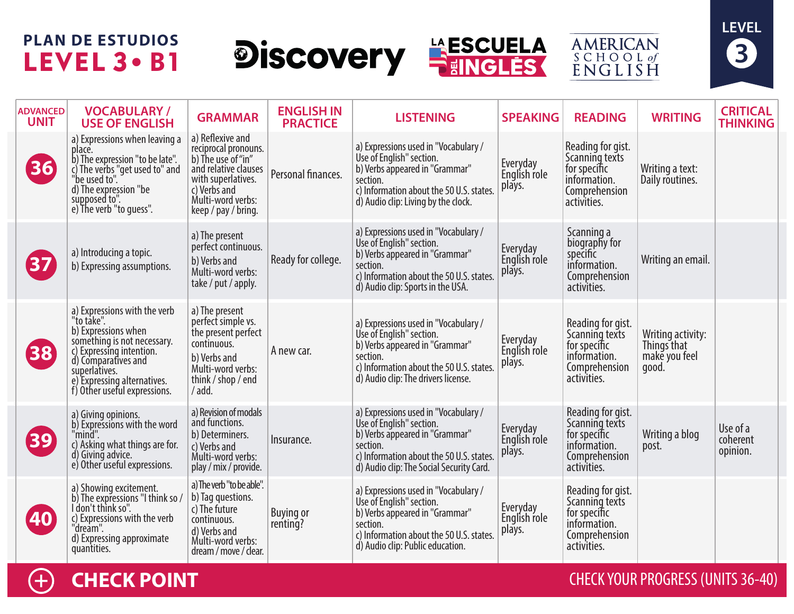## **PLAN DE ESTUDIOS** LEVEL 3 . B1

# **Discovery FESCUELA**





| <b>ADVANCED</b><br><b>UNIT</b> | <b>VOCABULARY/</b><br><b>USE OF ENGLISH</b>                                                                                                                                                                                         | <b>GRAMMAR</b>                                                                                                                                                           | <b>ENGLISH IN</b><br><b>PRACTICE</b> | <b>LISTENING</b>                                                                                                                                                                                       | <b>SPEAKING</b>                    | <b>READING</b>                                                                                      | <b>WRITING</b>                                             | <b>CRITICAL</b><br><b>THINKING</b> |
|--------------------------------|-------------------------------------------------------------------------------------------------------------------------------------------------------------------------------------------------------------------------------------|--------------------------------------------------------------------------------------------------------------------------------------------------------------------------|--------------------------------------|--------------------------------------------------------------------------------------------------------------------------------------------------------------------------------------------------------|------------------------------------|-----------------------------------------------------------------------------------------------------|------------------------------------------------------------|------------------------------------|
| 36                             | a) Expressions when leaving a<br>place.<br>b) The expression "to be late".<br>c) The verbs "get used to" and<br>"be used to".<br>d) The expression "be<br>supposed to".<br>e) The verb "to guess".                                  | a) Reflexive and<br>reciprocal pronouns.<br>b) The use of "in"<br>and relative clauses<br>with superlatives.<br>c) Verbs and<br>Multi-word verbs:<br>keep / pay / bring. | Personal finances.                   | a) Expressions used in "Vocabulary /<br>Use of English" section.<br>b) Verbs appeared in "Grammar"<br>section.<br>c) Information about the 50 U.S. states.<br>d) Audio clip: Living by the clock.      | Everyday<br>English role<br>plays. | Reading for gist.<br>Scanning texts<br>for specific<br>information.<br>Comprehension<br>activities. | Writing a text:<br>Daily routines.                         |                                    |
| 37                             | a) Introducing a topic.<br>b) Expressing assumptions.                                                                                                                                                                               | a) The present<br>perfect continuous.<br>b) Verbs and<br>Multi-word verbs:<br>take / put / apply.                                                                        | Ready for college.                   | a) Expressions used in "Vocabulary /<br>Use of English" section.<br>b) Verbs appeared in "Grammar"<br>section.<br>c) Information about the 50 U.S. states.<br>d) Audio clip: Sports in the USA.        | Everyday<br>English role<br>plays. | Scanning a<br>biography for<br>specific<br>information.<br>Comprehension<br>activities.             | Writing an email.                                          |                                    |
| 38                             | a) Expressions with the verb<br>"to take".<br>b) Expressions when<br>something is not necessary.<br>c) Expressing intention.<br>d) Comparatives and<br>superlatives.<br>e) Expressing alternatives.<br>f) Other useful expressions. | a) The present<br>perfect simple vs.<br>the present perfect<br>continuous.<br>b) Verbs and<br>Multi-word verbs:<br>think / shop / end<br>/ add.                          | A new car.                           | a) Expressions used in "Vocabulary /<br>Use of English" section.<br>b) Verbs appeared in "Grammar"<br>section.<br>c) Information about the 50 U.S. states.<br>d) Audio clip: The drivers license.      | Everyday<br>English role<br>plays. | Reading for gist.<br>Scanning texts<br>for specific<br>information.<br>Comprehension<br>activities. | Writing activity:<br>Things that<br>make you feel<br>qood. |                                    |
| 39                             | a) Giving opinions.<br>b) Expressions with the word<br>"mind".<br>c) Asking what things are for.<br>d) Giving advice.<br>e) Other useful expressions.                                                                               | a) Revision of modals<br>and functions.<br>b) Determiners.<br>c) Verbs and<br>Multi-word verbs:<br>play / mix / provide.                                                 | Insurance.                           | a) Expressions used in "Vocabulary /<br>Use of English" section.<br>b) Verbs appeared in "Grammar"<br>section.<br>c) Information about the 50 U.S. states.<br>d) Audio clip: The Social Security Card. | Everyday<br>English role<br>plays. | Reading for gist.<br>Scanning texts<br>for specific<br>information.<br>Comprehension<br>activities. | Writing a blog<br>post.                                    | Use of a<br>coherent<br>opinion.   |
| 40                             | a) Showing excitement.<br>b) The expressions "I think so /<br>I don't think so".<br>c) Expressions with the verb<br>"dream".<br>d) Expressing approximate<br>quantities.                                                            | a) The verb "to be able".<br>b) Tag questions.<br>c) The future<br>continuous.<br>d) Verbs and<br>Multi-word verbs:<br>dream / move / clear.                             | <b>Buying or</b><br>renting?         | a) Expressions used in "Vocabulary /<br>Use of English" section.<br>b) Verbs appeared in "Grammar"<br>section.<br>c) Information about the 50 U.S. states.<br>d) Audio clip: Public education.         | Everyday<br>English role<br>plays. | Reading for gist.<br>Scanning texts<br>for specific<br>information.<br>Comprehension<br>activities. |                                                            |                                    |



### **CHECK POINT** CHECK YOUR PROGRESS (UNITS 36-40)